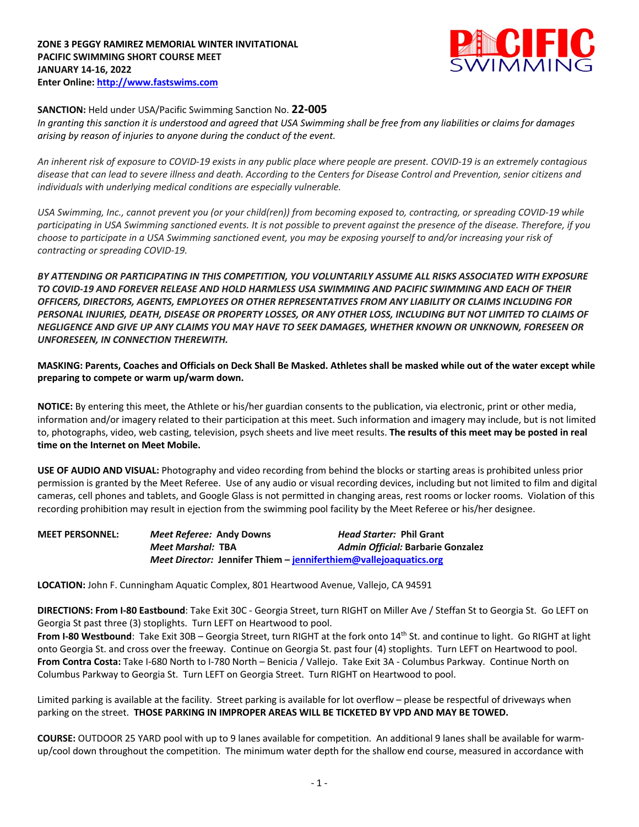

# **SANCTION:** Held under USA/Pacific Swimming Sanction No. **22-005**

*In granting this sanction it is understood and agreed that USA Swimming shall be free from any liabilities or claims for damages arising by reason of injuries to anyone during the conduct of the event.* 

*An inherent risk of exposure to COVID-19 exists in any public place where people are present. COVID-19 is an extremely contagious disease that can lead to severe illness and death. According to the Centers for Disease Control and Prevention, senior citizens and individuals with underlying medical conditions are especially vulnerable.*

*USA Swimming, Inc., cannot prevent you (or your child(ren)) from becoming exposed to, contracting, or spreading COVID-19 while participating in USA Swimming sanctioned events. It is not possible to prevent against the presence of the disease. Therefore, if you choose to participate in a USA Swimming sanctioned event, you may be exposing yourself to and/or increasing your risk of contracting or spreading COVID-19.*

*BY ATTENDING OR PARTICIPATING IN THIS COMPETITION, YOU VOLUNTARILY ASSUME ALL RISKS ASSOCIATED WITH EXPOSURE TO COVID-19 AND FOREVER RELEASE AND HOLD HARMLESS USA SWIMMING AND PACIFIC SWIMMING AND EACH OF THEIR OFFICERS, DIRECTORS, AGENTS, EMPLOYEES OR OTHER REPRESENTATIVES FROM ANY LIABILITY OR CLAIMS INCLUDING FOR PERSONAL INJURIES, DEATH, DISEASE OR PROPERTY LOSSES, OR ANY OTHER LOSS, INCLUDING BUT NOT LIMITED TO CLAIMS OF NEGLIGENCE AND GIVE UP ANY CLAIMS YOU MAY HAVE TO SEEK DAMAGES, WHETHER KNOWN OR UNKNOWN, FORESEEN OR UNFORESEEN, IN CONNECTION THEREWITH.*

**MASKING: Parents, Coaches and Officials on Deck Shall Be Masked. Athletes shall be masked while out of the water except while preparing to compete or warm up/warm down.** 

**NOTICE:** By entering this meet, the Athlete or his/her guardian consents to the publication, via electronic, print or other media, information and/or imagery related to their participation at this meet. Such information and imagery may include, but is not limited to, photographs, video, web casting, television, psych sheets and live meet results. **The results of this meet may be posted in real time on the Internet on Meet Mobile.**

**USE OF AUDIO AND VISUAL:** Photography and video recording from behind the blocks or starting areas is prohibited unless prior permission is granted by the Meet Referee. Use of any audio or visual recording devices, including but not limited to film and digital cameras, cell phones and tablets, and Google Glass is not permitted in changing areas, rest rooms or locker rooms. Violation of this recording prohibition may result in ejection from the swimming pool facility by the Meet Referee or his/her designee.

| <b>MEET PERSONNEL:</b> | <i>Meet Referee: Andy Downs</i> |                                                                   | <i>Head Starter: Phil Grant</i>   |
|------------------------|---------------------------------|-------------------------------------------------------------------|-----------------------------------|
|                        | Meet Marshal: TBA               |                                                                   | Admin Official: Barbarie Gonzalez |
|                        |                                 | Meet Director: Jennifer Thiem - jenniferthiem@vallejoaquatics.org |                                   |

**LOCATION:** John F. Cunningham Aquatic Complex, 801 Heartwood Avenue, Vallejo, CA 94591

**DIRECTIONS: From I-80 Eastbound**: Take Exit 30C - Georgia Street, turn RIGHT on Miller Ave / Steffan St to Georgia St. Go LEFT on Georgia St past three (3) stoplights. Turn LEFT on Heartwood to pool.

**From I-80 Westbound**: Take Exit 30B – Georgia Street, turn RIGHT at the fork onto 14<sup>th</sup> St. and continue to light. Go RIGHT at light onto Georgia St. and cross over the freeway. Continue on Georgia St. past four (4) stoplights. Turn LEFT on Heartwood to pool. **From Contra Costa:** Take I-680 North to I-780 North – Benicia / Vallejo. Take Exit 3A - Columbus Parkway. Continue North on Columbus Parkway to Georgia St. Turn LEFT on Georgia Street. Turn RIGHT on Heartwood to pool.

Limited parking is available at the facility. Street parking is available for lot overflow – please be respectful of driveways when parking on the street. **THOSE PARKING IN IMPROPER AREAS WILL BE TICKETED BY VPD AND MAY BE TOWED.**

**COURSE:** OUTDOOR 25 YARD pool with up to 9 lanes available for competition. An additional 9 lanes shall be available for warmup/cool down throughout the competition. The minimum water depth for the shallow end course, measured in accordance with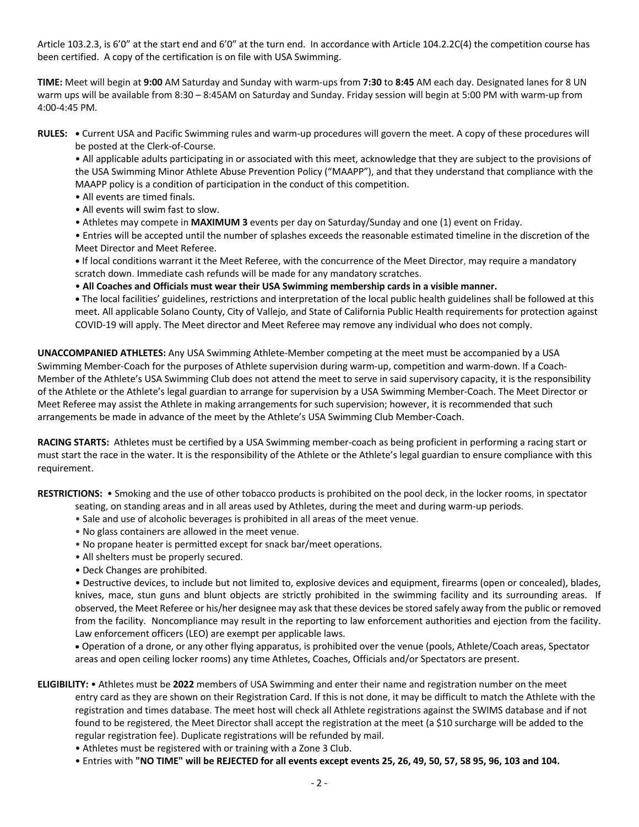Article 103.2.3, is 6'0" at the start end and 6'0" at the turn end. In accordance with Article 104.2.2C(4) the competition course has been certified. A copy of the certification is on file with USA Swimming.

**TIME:** Meet will begin at **9:00** AM Saturday and Sunday with warm-ups from **7:30** to **8:45** AM each day. Designated lanes for 8 UN warm ups will be available from 8:30 – 8:45AM on Saturday and Sunday. Friday session will begin at 5:00 PM with warm-up from 4:00-4:45 PM.

**RULES: •** Current USA and Pacific Swimming rules and warm-up procedures will govern the meet. A copy of these procedures will be posted at the Clerk-of-Course.

• All applicable adults participating in or associated with this meet, acknowledge that they are subject to the provisions of the USA Swimming Minor Athlete Abuse Prevention Policy ("MAAPP"), and that they understand that compliance with the MAAPP policy is a condition of participation in the conduct of this competition.

- All events are timed finals.
- All events will swim fast to slow.
- Athletes may compete in **MAXIMUM 3** events per day on Saturday/Sunday and one (1) event on Friday.

• Entries will be accepted until the number of splashes exceeds the reasonable estimated timeline in the discretion of the Meet Director and Meet Referee.

**•** If local conditions warrant it the Meet Referee, with the concurrence of the Meet Director, may require a mandatory scratch down. Immediate cash refunds will be made for any mandatory scratches.

• **All Coaches and Officials must wear their USA Swimming membership cards in a visible manner.** 

**•** The local facilities' guidelines, restrictions and interpretation of the local public health guidelines shall be followed at this meet. All applicable Solano County, City of Vallejo, and State of California Public Health requirements for protection against COVID-19 will apply. The Meet director and Meet Referee may remove any individual who does not comply.

**UNACCOMPANIED ATHLETES:** Any USA Swimming Athlete-Member competing at the meet must be accompanied by a USA Swimming Member-Coach for the purposes of Athlete supervision during warm-up, competition and warm-down. If a Coach-Member of the Athlete's USA Swimming Club does not attend the meet to serve in said supervisory capacity, it is the responsibility of the Athlete or the Athlete's legal guardian to arrange for supervision by a USA Swimming Member-Coach. The Meet Director or Meet Referee may assist the Athlete in making arrangements for such supervision; however, it is recommended that such arrangements be made in advance of the meet by the Athlete's USA Swimming Club Member-Coach.

**RACING STARTS:** Athletes must be certified by a USA Swimming member-coach as being proficient in performing a racing start or must start the race in the water. It is the responsibility of the Athlete or the Athlete's legal guardian to ensure compliance with this requirement.

**RESTRICTIONS:** • Smoking and the use of other tobacco products is prohibited on the pool deck, in the locker rooms, in spectator

- seating, on standing areas and in all areas used by Athletes, during the meet and during warm-up periods.
- Sale and use of alcoholic beverages is prohibited in all areas of the meet venue.
- No glass containers are allowed in the meet venue.
- No propane heater is permitted except for snack bar/meet operations.
- All shelters must be properly secured.
- Deck Changes are prohibited.

• Destructive devices, to include but not limited to, explosive devices and equipment, firearms (open or concealed), blades, knives, mace, stun guns and blunt objects are strictly prohibited in the swimming facility and its surrounding areas. If observed, the Meet Referee or his/her designee may ask that these devices be stored safely away from the public or removed from the facility. Noncompliance may result in the reporting to law enforcement authorities and ejection from the facility. Law enforcement officers (LEO) are exempt per applicable laws.

• Operation of a drone, or any other flying apparatus, is prohibited over the venue (pools, Athlete/Coach areas, Spectator areas and open ceiling locker rooms) any time Athletes, Coaches, Officials and/or Spectators are present.

- **ELIGIBILITY:** Athletes must be **2022** members of USA Swimming and enter their name and registration number on the meet entry card as they are shown on their Registration Card. If this is not done, it may be difficult to match the Athlete with the registration and times database. The meet host will check all Athlete registrations against the SWIMS database and if not found to be registered, the Meet Director shall accept the registration at the meet (a \$10 surcharge will be added to the regular registration fee). Duplicate registrations will be refunded by mail.
	- Athletes must be registered with or training with a Zone 3 Club.
	- Entries with **"NO TIME" will be REJECTED for all events except events 25, 26, 49, 50, 57, 58 95, 96, 103 and 104.**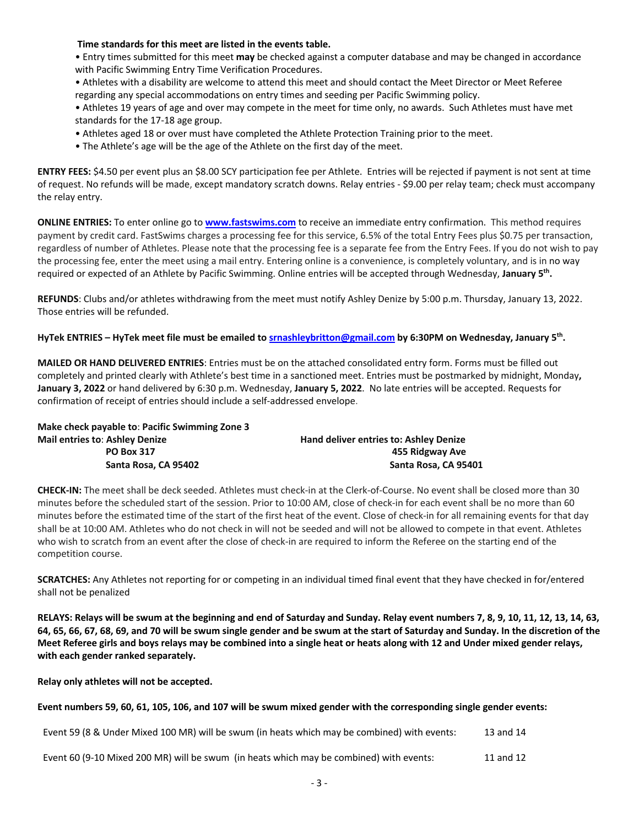#### **Time standards for this meet are listed in the events table.**

• Entry times submitted for this meet **may** be checked against a computer database and may be changed in accordance with Pacific Swimming Entry Time Verification Procedures.

• Athletes with a disability are welcome to attend this meet and should contact the Meet Director or Meet Referee regarding any special accommodations on entry times and seeding per Pacific Swimming policy.

• Athletes 19 years of age and over may compete in the meet for time only, no awards. Such Athletes must have met standards for the 17-18 age group.

- Athletes aged 18 or over must have completed the Athlete Protection Training prior to the meet.
- The Athlete's age will be the age of the Athlete on the first day of the meet.

**ENTRY FEES:** \$4.50 per event plus an \$8.00 SCY participation fee per Athlete. Entries will be rejected if payment is not sent at time of request. No refunds will be made, except mandatory scratch downs. Relay entries - \$9.00 per relay team; check must accompany the relay entry.

**ONLINE ENTRIES:** To enter online go to **www.fastswims.com** to receive an immediate entry confirmation. This method requires payment by credit card. FastSwims charges a processing fee for this service, 6.5% of the total Entry Fees plus \$0.75 per transaction, regardless of number of Athletes. Please note that the processing fee is a separate fee from the Entry Fees. If you do not wish to pay the processing fee, enter the meet using a mail entry. Entering online is a convenience, is completely voluntary, and is in no way required or expected of an Athlete by Pacific Swimming. Online entries will be accepted through Wednesday, **January 5th.**

**REFUNDS**: Clubs and/or athletes withdrawing from the meet must notify Ashley Denize by 5:00 p.m. Thursday, January 13, 2022. Those entries will be refunded.

**HyTek ENTRIES – HyTek meet file must be emailed to srnashleybritton@gmail.com by 6:30PM on Wednesday, January 5th.** 

**MAILED OR HAND DELIVERED ENTRIES**: Entries must be on the attached consolidated entry form. Forms must be filled out completely and printed clearly with Athlete's best time in a sanctioned meet. Entries must be postmarked by midnight, Monday**, January 3, 2022** or hand delivered by 6:30 p.m. Wednesday, **January 5, 2022**. No late entries will be accepted. Requests for confirmation of receipt of entries should include a self-addressed envelope.

| Make check payable to: Pacific Swimming Zone 3 |                                        |
|------------------------------------------------|----------------------------------------|
| <b>Mail entries to: Ashley Denize</b>          | Hand deliver entries to: Ashley Denize |
| <b>PO Box 317</b>                              | 455 Ridgway Ave                        |
| Santa Rosa, CA 95402                           | Santa Rosa, CA 95401                   |

**CHECK-IN:** The meet shall be deck seeded. Athletes must check-in at the Clerk-of-Course. No event shall be closed more than 30 minutes before the scheduled start of the session. Prior to 10:00 AM, close of check-in for each event shall be no more than 60 minutes before the estimated time of the start of the first heat of the event. Close of check-in for all remaining events for that day shall be at 10:00 AM. Athletes who do not check in will not be seeded and will not be allowed to compete in that event. Athletes who wish to scratch from an event after the close of check-in are required to inform the Referee on the starting end of the competition course.

**SCRATCHES:** Any Athletes not reporting for or competing in an individual timed final event that they have checked in for/entered shall not be penalized

**RELAYS: Relays will be swum at the beginning and end of Saturday and Sunday. Relay event numbers 7, 8, 9, 10, 11, 12, 13, 14, 63, 64, 65, 66, 67, 68, 69, and 70 will be swum single gender and be swum at the start of Saturday and Sunday. In the discretion of the Meet Referee girls and boys relays may be combined into a single heat or heats along with 12 and Under mixed gender relays, with each gender ranked separately.** 

**Relay only athletes will not be accepted.** 

**Event numbers 59, 60, 61, 105, 106, and 107 will be swum mixed gender with the corresponding single gender events:**

| Event 59 (8 & Under Mixed 100 MR) will be swum (in heats which may be combined) with events: | 13 and 14 |
|----------------------------------------------------------------------------------------------|-----------|
|                                                                                              |           |

Event 60 (9-10 Mixed 200 MR) will be swum (in heats which may be combined) with events: 11 and 12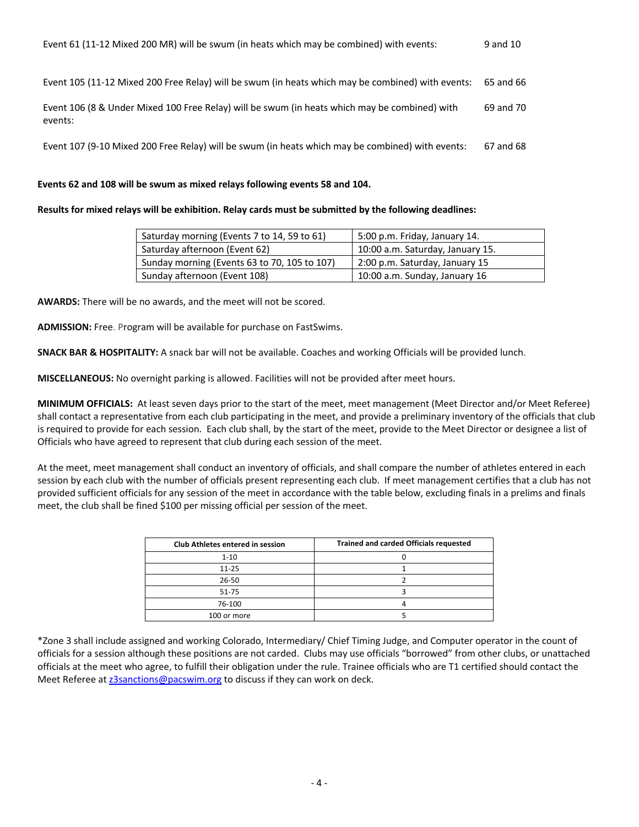| Event 61 (11-12 Mixed 200 MR) will be swum (in heats which may be combined) with events: | 9 and 10 |
|------------------------------------------------------------------------------------------|----------|
|                                                                                          |          |

Event 105 (11-12 Mixed 200 Free Relay) will be swum (in heats which may be combined) with events: 65 and 66

Event 106 (8 & Under Mixed 100 Free Relay) will be swum (in heats which may be combined) with events: 69 and 70

Event 107 (9-10 Mixed 200 Free Relay) will be swum (in heats which may be combined) with events: 67 and 68

# **Events 62 and 108 will be swum as mixed relays following events 58 and 104.**

**Results for mixed relays will be exhibition. Relay cards must be submitted by the following deadlines:**

| Saturday morning (Events 7 to 14, 59 to 61)  | 5:00 p.m. Friday, January 14.    |
|----------------------------------------------|----------------------------------|
| Saturday afternoon (Event 62)                | 10:00 a.m. Saturday, January 15. |
| Sunday morning (Events 63 to 70, 105 to 107) | 2:00 p.m. Saturday, January 15   |
| Sunday afternoon (Event 108)                 | 10:00 a.m. Sunday, January 16    |

**AWARDS:** There will be no awards, and the meet will not be scored.

**ADMISSION:** Free. Program will be available for purchase on FastSwims.

**SNACK BAR & HOSPITALITY:** A snack bar will not be available. Coaches and working Officials will be provided lunch.

**MISCELLANEOUS:** No overnight parking is allowed. Facilities will not be provided after meet hours.

**MINIMUM OFFICIALS:** At least seven days prior to the start of the meet, meet management (Meet Director and/or Meet Referee) shall contact a representative from each club participating in the meet, and provide a preliminary inventory of the officials that club is required to provide for each session. Each club shall, by the start of the meet, provide to the Meet Director or designee a list of Officials who have agreed to represent that club during each session of the meet.

At the meet, meet management shall conduct an inventory of officials, and shall compare the number of athletes entered in each session by each club with the number of officials present representing each club. If meet management certifies that a club has not provided sufficient officials for any session of the meet in accordance with the table below, excluding finals in a prelims and finals meet, the club shall be fined \$100 per missing official per session of the meet.

| Club Athletes entered in session | <b>Trained and carded Officials requested</b> |
|----------------------------------|-----------------------------------------------|
| $1 - 10$                         |                                               |
| $11 - 25$                        |                                               |
| $26 - 50$                        |                                               |
| $51 - 75$                        |                                               |
| 76-100                           |                                               |
| 100 or more                      |                                               |

\*Zone 3 shall include assigned and working Colorado, Intermediary/ Chief Timing Judge, and Computer operator in the count of officials for a session although these positions are not carded. Clubs may use officials "borrowed" from other clubs, or unattached officials at the meet who agree, to fulfill their obligation under the rule. Trainee officials who are T1 certified should contact the Meet Referee at z3sanctions@pacswim.org to discuss if they can work on deck.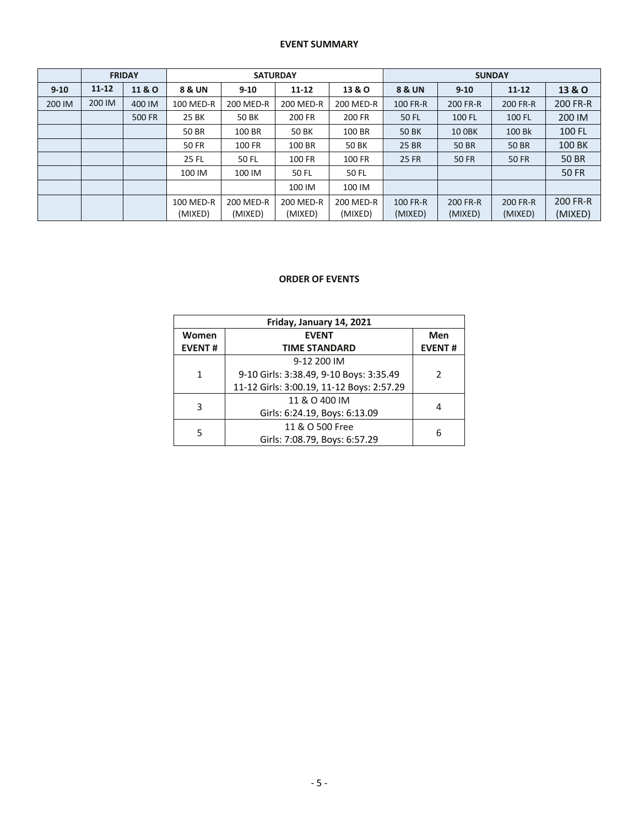#### **EVENT SUMMARY**

|          | <b>FRIDAY</b> |                 | <b>SATURDAY</b>   |           |           |                           | <b>SUNDAY</b>     |                      |              |                   |  |
|----------|---------------|-----------------|-------------------|-----------|-----------|---------------------------|-------------------|----------------------|--------------|-------------------|--|
| $9 - 10$ | $11 - 12$     | <b>11&amp;O</b> | <b>8 &amp; UN</b> | $9 - 10$  | $11 - 12$ | 13 & O                    | <b>8 &amp; UN</b> | $9 - 10$             | $11 - 12$    | <b>13 &amp; O</b> |  |
| 200 IM   | 200 IM        | 400 IM          | 100 MED-R         | 200 MED-R | 200 MED-R | 200 MED-R                 | 100 FR-R          | 200 FR-R<br>200 FR-R |              | 200 FR-R          |  |
|          |               | <b>500 FR</b>   | 25 BK             | 50 BK     | 200 FR    | 200 FR<br>50 FL<br>100 FL |                   | 100 FL               | 200 IM       |                   |  |
|          |               |                 | 50 BR             | 100 BR    | 50 BK     | 100 BR                    | <b>50 BK</b>      | <b>10 OBK</b>        | 100 Bk       | 100 FL            |  |
|          |               |                 | <b>50 FR</b>      | 100 FR    | 100 BR    | 50 BK                     | 25 BR             | <b>50 BR</b>         | 50 BR        | 100 BK            |  |
|          |               |                 | 25 FL             | 50 FL     | 100 FR    | 100 FR                    | <b>25 FR</b>      | <b>50 FR</b>         | <b>50 FR</b> | 50 BR             |  |
|          |               |                 | 100 IM            | 100 IM    | 50 FL     | 50 FL                     |                   |                      |              | <b>50 FR</b>      |  |
|          |               |                 |                   |           | 100 IM    | 100 IM                    |                   |                      |              |                   |  |
|          |               |                 | 100 MED-R         | 200 MED-R | 200 MED-R | 200 MED-R                 | 100 FR-R          | 200 FR-R             | 200 FR-R     | 200 FR-R          |  |
|          |               |                 | (MIXED)           | (MIXED)   | (MIXED)   | (MIXED)                   | (MIXED)           | (MIXED)              | (MIXED)      | (MIXED)           |  |

# **ORDER OF EVENTS**

| Friday, January 14, 2021 |                                           |               |  |  |  |  |  |  |
|--------------------------|-------------------------------------------|---------------|--|--|--|--|--|--|
| Women                    | <b>EVENT</b>                              |               |  |  |  |  |  |  |
| <b>EVENT#</b>            | <b>TIME STANDARD</b>                      | <b>EVENT#</b> |  |  |  |  |  |  |
|                          | 9-12 200 IM                               |               |  |  |  |  |  |  |
| 1                        | 9-10 Girls: 3:38.49, 9-10 Boys: 3:35.49   | 2             |  |  |  |  |  |  |
|                          | 11-12 Girls: 3:00.19, 11-12 Boys: 2:57.29 |               |  |  |  |  |  |  |
| 3                        | 11 & O 400 IM                             |               |  |  |  |  |  |  |
|                          | Girls: 6:24.19, Boys: 6:13.09             |               |  |  |  |  |  |  |
| 5                        | 11 & O 500 Free                           |               |  |  |  |  |  |  |
|                          | Girls: 7:08.79, Boys: 6:57.29             | 6             |  |  |  |  |  |  |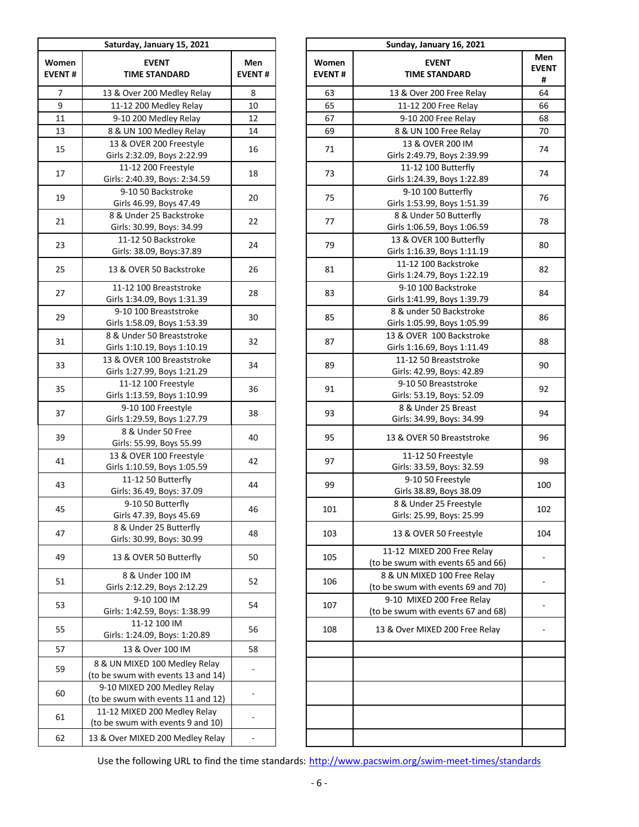|                        | Saturday, January 15, 2021                                          |                          |                        | Sunday, January 16, 2021                                      |
|------------------------|---------------------------------------------------------------------|--------------------------|------------------------|---------------------------------------------------------------|
| Women<br><b>EVENT#</b> | <b>EVENT</b><br><b>TIME STANDARD</b>                                | Men<br><b>EVENT#</b>     | Women<br><b>EVENT#</b> | <b>EVENT</b><br><b>TIME STANDARD</b>                          |
| $\overline{7}$         | 13 & Over 200 Medley Relay                                          | 8                        | 63                     | 13 & Over 200 Free Relay                                      |
| 9                      | 11-12 200 Medley Relay                                              | 10                       | 65                     | 11-12 200 Free Relay                                          |
| 11                     | 9-10 200 Medley Relay                                               | 12                       | 67                     | 9-10 200 Free Relay                                           |
| 13                     | 8 & UN 100 Medley Relay                                             | 14                       | 69                     | 8 & UN 100 Free Relay                                         |
|                        | 13 & OVER 200 Freestyle                                             |                          |                        | 13 & OVER 200 IM                                              |
| 15                     | Girls 2:32.09, Boys 2:22.99                                         | 16                       | 71                     | Girls 2:49.79, Boys 2:39.99                                   |
| 17                     | 11-12 200 Freestyle<br>Girls: 2:40.39, Boys: 2:34.59                | 18                       | 73                     | 11-12 100 Butterfly<br>Girls 1:24.39, Boys 1:22.89            |
| 19                     | 9-10 50 Backstroke<br>Girls 46.99, Boys 47.49                       | 20                       | 75                     | 9-10 100 Butterfly<br>Girls 1:53.99, Boys 1:51.39             |
| 21                     | 8 & Under 25 Backstroke<br>Girls: 30.99, Boys: 34.99                | 22                       | 77                     | 8 & Under 50 Butterfly<br>Girls 1:06.59, Boys 1:06.59         |
|                        | 11-12 50 Backstroke                                                 |                          |                        | 13 & OVER 100 Butterfly                                       |
| 23                     | Girls: 38.09, Boys: 37.89                                           | 24                       | 79                     | Girls 1:16.39, Boys 1:11.19                                   |
|                        |                                                                     |                          |                        | 11-12 100 Backstroke                                          |
| 25                     | 13 & OVER 50 Backstroke                                             | 26                       | 81                     | Girls 1:24.79, Boys 1:22.19                                   |
|                        | 11-12 100 Breaststroke                                              |                          |                        | 9-10 100 Backstroke                                           |
| 27                     | Girls 1:34.09, Boys 1:31.39                                         | 28                       | 83                     | Girls 1:41.99, Boys 1:39.79                                   |
| 29                     | 9-10 100 Breaststroke<br>Girls 1:58.09, Boys 1:53.39                | 30                       | 85                     | 8 & under 50 Backstroke<br>Girls 1:05.99, Boys 1:05.99        |
|                        | 8 & Under 50 Breaststroke                                           |                          |                        | 13 & OVER 100 Backstroke                                      |
| 31                     | Girls 1:10.19, Boys 1:10.19                                         | 32                       | 87                     | Girls 1:16.69, Boys 1:11.49                                   |
|                        | 13 & OVER 100 Breaststroke                                          |                          |                        | 11-12 50 Breaststroke                                         |
| 33                     | Girls 1:27.99, Boys 1:21.29                                         | 34                       | 89                     | Girls: 42.99, Boys: 42.89                                     |
|                        | 11-12 100 Freestyle                                                 |                          |                        | 9-10 50 Breaststroke                                          |
| 35                     | Girls 1:13.59, Boys 1:10.99                                         | 36                       | 91                     | Girls: 53.19, Boys: 52.09                                     |
|                        | 9-10 100 Freestyle                                                  |                          |                        | 8 & Under 25 Breast                                           |
| 37                     | Girls 1:29.59, Boys 1:27.79                                         | 38                       | 93                     | Girls: 34.99, Boys: 34.99                                     |
| 39                     | 8 & Under 50 Free<br>Girls: 55.99, Boys 55.99                       | 40                       | 95                     | 13 & OVER 50 Breaststroke                                     |
| 41                     | 13 & OVER 100 Freestyle<br>Girls 1:10.59, Boys 1:05.59              | 42                       | 97                     | 11-12 50 Freestyle<br>Girls: 33.59, Boys: 32.59               |
| 43                     | 11-12 50 Butterfly                                                  | 44                       | 99                     | 9-10 50 Freestyle                                             |
|                        | Girls: 36.49, Boys: 37.09                                           |                          |                        | Girls 38.89, Boys 38.09                                       |
|                        | 9-10 50 Butterfly                                                   |                          |                        | 8 & Under 25 Freestyle                                        |
| 45                     | Girls 47.39, Boys 45.69                                             | 46                       | 101                    | Girls: 25.99, Boys: 25.99                                     |
| 47                     | 8 & Under 25 Butterfly<br>Girls: 30.99, Boys: 30.99                 | 48                       | 103                    | 13 & OVER 50 Freestyle                                        |
| 49                     | 13 & OVER 50 Butterfly                                              | 50                       | 105                    | 11-12 MIXED 200 Free Relay<br>(to be swum with events 65 and  |
| 51                     | 8 & Under 100 IM<br>Girls 2:12.29, Boys 2:12.29                     | 52                       | 106                    | 8 & UN MIXED 100 Free Relay<br>(to be swum with events 69 and |
| 53                     | 9-10 100 IM<br>Girls: 1:42.59, Boys: 1:38.99                        | 54                       | 107                    | 9-10 MIXED 200 Free Relay<br>(to be swum with events 67 and   |
|                        | 11-12 100 IM                                                        |                          |                        |                                                               |
| 55                     | Girls: 1:24.09, Boys: 1:20.89                                       | 56                       | 108                    | 13 & Over MIXED 200 Free Rela                                 |
| 57                     | 13 & Over 100 IM                                                    | 58                       |                        |                                                               |
| 59                     | 8 & UN MIXED 100 Medley Relay<br>(to be swum with events 13 and 14) |                          |                        |                                                               |
|                        | 9-10 MIXED 200 Medley Relay                                         |                          |                        |                                                               |
| 60                     | (to be swum with events 11 and 12)                                  | -                        |                        |                                                               |
| 61                     | 11-12 MIXED 200 Medley Relay<br>(to be swum with events 9 and 10)   |                          |                        |                                                               |
| 62                     | 13 & Over MIXED 200 Medley Relay                                    | $\overline{\phantom{m}}$ |                        |                                                               |
|                        |                                                                     |                          |                        |                                                               |

|                  | Saturday, January 15, 2021                                                     |                      |  |                        |                                                                   |                          |
|------------------|--------------------------------------------------------------------------------|----------------------|--|------------------------|-------------------------------------------------------------------|--------------------------|
| omen<br>ENT#     | <b>EVENT</b><br><b>TIME STANDARD</b>                                           | Men<br><b>EVENT#</b> |  | Women<br><b>EVENT#</b> | <b>EVENT</b><br><b>TIME STANDARD</b>                              | Men<br><b>EVENT</b><br># |
| $\overline{7}$   | 13 & Over 200 Medley Relay                                                     | 8                    |  | 63                     | 13 & Over 200 Free Relay                                          | 64                       |
| $\boldsymbol{9}$ | 11-12 200 Medley Relay                                                         | 10                   |  | 65                     | 11-12 200 Free Relay                                              | 66                       |
| 11               | 9-10 200 Medley Relay                                                          | 12                   |  | 67                     | 9-10 200 Free Relay                                               | 68                       |
| 13               | 8 & UN 100 Medley Relay                                                        | 14                   |  | 69                     | 8 & UN 100 Free Relay                                             | 70                       |
|                  | 13 & OVER 200 Freestyle                                                        |                      |  |                        | 13 & OVER 200 IM                                                  |                          |
| 15               | Girls 2:32.09, Boys 2:22.99                                                    | 16                   |  | 71                     | Girls 2:49.79, Boys 2:39.99                                       | 74                       |
| 17               | 11-12 200 Freestyle<br>Girls: 2:40.39, Boys: 2:34.59                           | 18                   |  | 73                     | 11-12 100 Butterfly<br>Girls 1:24.39, Boys 1:22.89                | 74                       |
| 19               | 9-10 50 Backstroke<br>Girls 46.99, Boys 47.49                                  | 20                   |  | 75                     | 9-10 100 Butterfly<br>Girls 1:53.99, Boys 1:51.39                 | 76                       |
| 21               | 8 & Under 25 Backstroke<br>Girls: 30.99, Boys: 34.99                           | 22                   |  | 77                     | 8 & Under 50 Butterfly<br>Girls 1:06.59, Boys 1:06.59             | 78                       |
| 23               | 11-12 50 Backstroke<br>Girls: 38.09, Boys: 37.89                               | 24                   |  | 79                     | 13 & OVER 100 Butterfly<br>Girls 1:16.39, Boys 1:11.19            | 80                       |
| 25               | 13 & OVER 50 Backstroke                                                        | 26                   |  | 81                     | 11-12 100 Backstroke<br>Girls 1:24.79, Boys 1:22.19               | 82                       |
| 27               | 11-12 100 Breaststroke<br>Girls 1:34.09, Boys 1:31.39                          | 28                   |  | 83                     | 9-10 100 Backstroke<br>Girls 1:41.99, Boys 1:39.79                | 84                       |
| 29               | 9-10 100 Breaststroke<br>Girls 1:58.09, Boys 1:53.39                           | 30                   |  | 85                     | 8 & under 50 Backstroke<br>Girls 1:05.99, Boys 1:05.99            | 86                       |
| 31               | 8 & Under 50 Breaststroke<br>Girls 1:10.19, Boys 1:10.19                       | 32                   |  | 87                     | 13 & OVER 100 Backstroke<br>Girls 1:16.69, Boys 1:11.49           | 88                       |
| 33               | 13 & OVER 100 Breaststroke<br>Girls 1:27.99, Boys 1:21.29                      | 34                   |  | 89                     | 11-12 50 Breaststroke<br>Girls: 42.99, Boys: 42.89                | 90                       |
| 35               | 11-12 100 Freestyle<br>Girls 1:13.59, Boys 1:10.99                             | 36                   |  | 91                     | 9-10 50 Breaststroke<br>Girls: 53.19, Boys: 52.09                 | 92                       |
| 37               | 9-10 100 Freestyle<br>Girls 1:29.59, Boys 1:27.79                              | 38                   |  | 93                     | 8 & Under 25 Breast<br>Girls: 34.99, Boys: 34.99                  | 94                       |
| 39               | 8 & Under 50 Free<br>Girls: 55.99, Boys 55.99                                  | 40                   |  | 95                     | 13 & OVER 50 Breaststroke                                         | 96                       |
| 41               | 13 & OVER 100 Freestyle<br>Girls 1:10.59, Boys 1:05.59                         | 42                   |  | 97                     | 11-12 50 Freestyle<br>Girls: 33.59, Boys: 32.59                   | 98                       |
| 43               | 11-12 50 Butterfly<br>Girls: 36.49, Boys: 37.09                                | 44                   |  | 99                     | 9-10 50 Freestyle<br>Girls 38.89, Boys 38.09                      | 100                      |
| 45               | 9-10 50 Butterfly                                                              | 46                   |  | 101                    | 8 & Under 25 Freestyle<br>Girls: 25.99, Boys: 25.99               | 102                      |
| 47               | Girls 47.39, Boys 45.69<br>8 & Under 25 Butterfly<br>Girls: 30.99, Boys: 30.99 | 48                   |  | 103                    | 13 & OVER 50 Freestyle                                            | 104                      |
| 49               | 13 & OVER 50 Butterfly                                                         | 50                   |  | 105                    | 11-12 MIXED 200 Free Relay<br>(to be swum with events 65 and 66)  |                          |
| 51               | 8 & Under 100 IM<br>Girls 2:12.29, Boys 2:12.29                                | 52                   |  | 106                    | 8 & UN MIXED 100 Free Relay<br>(to be swum with events 69 and 70) |                          |
| 53               | 9-10 100 IM<br>Girls: 1:42.59, Boys: 1:38.99                                   | 54                   |  | 107                    | 9-10 MIXED 200 Free Relay<br>(to be swum with events 67 and 68)   |                          |
| 55               | 11-12 100 IM<br>Girls: 1:24.09, Boys: 1:20.89                                  | 56                   |  | 108                    | 13 & Over MIXED 200 Free Relay                                    |                          |
| 57               | 13 & Over 100 IM                                                               | 58                   |  |                        |                                                                   |                          |
| 59               | 8 & UN MIXED 100 Medley Relay<br>(to be swum with events 13 and 14)            |                      |  |                        |                                                                   |                          |
| 60               | 9-10 MIXED 200 Medley Relay<br>(to be swum with events 11 and 12)              |                      |  |                        |                                                                   |                          |
| 61               | 11-12 MIXED 200 Medley Relay                                                   |                      |  |                        |                                                                   |                          |
| 62               | (to be swum with events 9 and 10)<br>13 & Over MIXED 200 Medley Relay          |                      |  |                        |                                                                   |                          |
|                  |                                                                                |                      |  |                        |                                                                   |                          |

Use the following URL to find the time standards: http://www.pacswim.org/swim-meet-times/standards